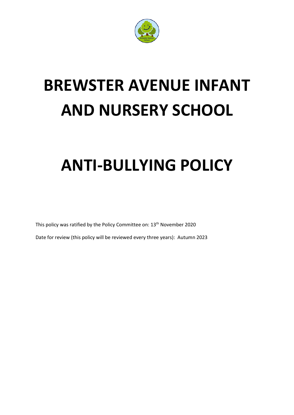

# **BREWSTER AVENUE INFANT AND NURSERY SCHOOL**

# **ANTI-BULLYING POLICY**

This policy was ratified by the Policy Committee on: 13<sup>th</sup> November 2020

Date for review (this policy will be reviewed every three years): Autumn 2023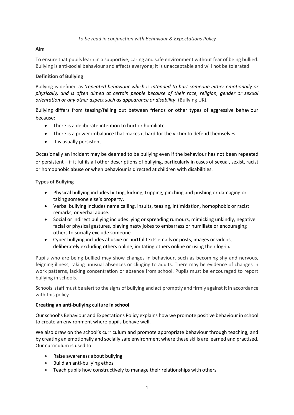#### *To be read in conjunction with Behaviour & Expectations Policy*

### **Aim**

To ensure that pupils learn in a supportive, caring and safe environment without fear of being bullied. Bullying is anti-social behaviour and affects everyone; it is unacceptable and will not be tolerated.

# **Definition of Bullying**

Bullying is defined as '*repeated behaviour which is intended to hurt someone either emotionally or physically, and is often aimed at certain people because of their race, religion, gender or sexual orientation or any other aspect such as appearance or disability*' (Bullying UK).

Bullying differs from teasing/falling out between friends or other types of aggressive behaviour because:

- There is a deliberate intention to hurt or humiliate.
- There is a power imbalance that makes it hard for the victim to defend themselves.
- It is usually persistent.

Occasionally an incident may be deemed to be bullying even if the behaviour has not been repeated or persistent – if it fulfils all other descriptions of bullying, particularly in cases of sexual, sexist, racist or homophobic abuse or when behaviour is directed at children with disabilities.

# **Types of Bullying**

- Physical bullying includes hitting, kicking, tripping, pinching and pushing or damaging or taking someone else's property.
- Verbal bullying includes name calling, insults, teasing, intimidation, homophobic or racist remarks, or verbal abuse.
- Social or indirect bullying includes lying or spreading rumours, mimicking unkindly, negative facial or physical gestures, playing nasty jokes to embarrass or humiliate or encouraging others to socially exclude someone.
- Cyber bullying includes abusive or hurtful texts emails or posts, images or videos, deliberately excluding others online, imitating others online or using their log-in*.*

Pupils who are being bullied may show changes in behaviour, such as becoming shy and nervous, feigning illness, taking unusual absences or clinging to adults. There may be evidence of changes in work patterns, lacking concentration or absence from school. Pupils must be encouraged to report bullying in schools.

Schools' staff must be alert to the signs of bullying and act promptly and firmly against it in accordance with this policy.

#### **Creating an anti-bullying culture in school**

Our school's Behaviour and Expectations Policy explains how we promote positive behaviour in school to create an environment where pupils behave well.

We also draw on the school's curriculum and promote appropriate behaviour through teaching, and by creating an emotionally and socially safe environment where these skills are learned and practised. Our curriculum is used to:

- Raise awareness about bullying
- Build an anti-bullying ethos
- Teach pupils how constructively to manage their relationships with others